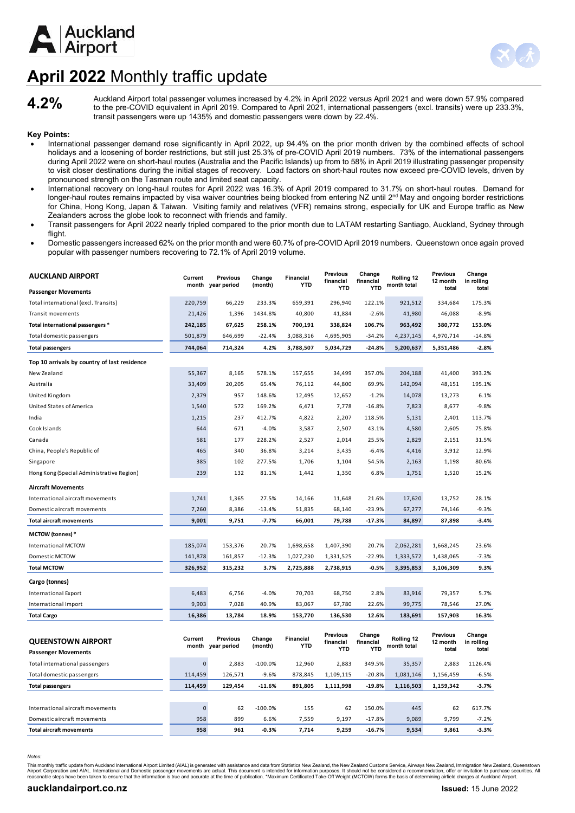



## **April 2022** Monthly traffic update

Auckland Airport total passenger volumes increased by 4.2% in April 2022 versus April 2021 and were down 57.9% compared **4.2%**<br>to the pre-COVID equivalent in April 2019. Compared to April 2021, international passengers (ex transit passengers were up 1435% and domestic passengers were down by 22.4%.

## **Key Points:**

- International passenger demand rose significantly in April 2022, up 94.4% on the prior month driven by the combined effects of school holidays and a loosening of border restrictions, but still just 25.3% of pre-COVID April 2019 numbers. 73% of the international passengers during April 2022 were on short-haul routes (Australia and the Pacific Islands) up from to 58% in April 2019 illustrating passenger propensity to visit closer destinations during the initial stages of recovery. Load factors on short-haul routes now exceed pre-COVID levels, driven by pronounced strength on the Tasman route and limited seat capacity.
- International recovery on long-haul routes for April 2022 was 16.3% of April 2019 compared to 31.7% on short-haul routes. Demand for longer-haul routes remains impacted by visa waiver countries being blocked from entering NZ until  $2<sup>nd</sup>$  May and ongoing border restrictions for China, Hong Kong, Japan & Taiwan. Visiting family and relatives (VFR) remains strong, especially for UK and Europe traffic as New Zealanders across the globe look to reconnect with friends and family.
- Transit passengers for April 2022 nearly tripled compared to the prior month due to LATAM restarting Santiago, Auckland, Sydney through flight.
- Domestic passengers increased 62% on the prior month and were 60.7% of pre-COVID April 2019 numbers. Queenstown once again proved popular with passenger numbers recovering to 72.1% of April 2019 volume.

| AUCKLAND AIRPORT                             | Current<br>month | Previous<br>year period | Change<br>(month) | <b>Financial</b><br><b>YTD</b> | <b>Previous</b><br>financial | Change<br>financial | Rolling 12<br>month total | <b>Previous</b><br>12 month | Change<br>in rolling |
|----------------------------------------------|------------------|-------------------------|-------------------|--------------------------------|------------------------------|---------------------|---------------------------|-----------------------------|----------------------|
| <b>Passenger Movements</b>                   |                  |                         |                   |                                | <b>YTD</b>                   | <b>YTD</b>          |                           | total                       | total                |
| Total international (excl. Transits)         | 220,759          | 66,229                  | 233.3%            | 659,391                        | 296,940                      | 122.1%              | 921,512                   | 334,684                     | 175.3%               |
| <b>Transit movements</b>                     | 21,426           | 1,396                   | 1434.8%           | 40,800                         | 41,884                       | $-2.6%$             | 41,980                    | 46,088                      | $-8.9%$              |
| Total international passengers *             | 242,185          | 67,625                  | 258.1%            | 700,191                        | 338,824                      | 106.7%              | 963,492                   | 380,772                     | 153.0%               |
| Total domestic passengers                    | 501,879          | 646,699                 | $-22.4%$          | 3,088,316                      | 4,695,905                    | $-34.2%$            | 4,237,145                 | 4,970,714                   | $-14.8%$             |
| <b>Total passengers</b>                      | 744,064          | 714,324                 | 4.2%              | 3,788,507                      | 5,034,729                    | $-24.8%$            | 5,200,637                 | 5,351,486                   | $-2.8%$              |
| Top 10 arrivals by country of last residence |                  |                         |                   |                                |                              |                     |                           |                             |                      |
| New Zealand                                  | 55,367           | 8,165                   | 578.1%            | 157,655                        | 34,499                       | 357.0%              | 204,188                   | 41,400                      | 393.2%               |
| Australia                                    | 33,409           | 20,205                  | 65.4%             | 76,112                         | 44,800                       | 69.9%               | 142,094                   | 48,151                      | 195.1%               |
| United Kingdom                               | 2,379            | 957                     | 148.6%            | 12,495                         | 12,652                       | $-1.2%$             | 14,078                    | 13,273                      | 6.1%                 |
| United States of America                     | 1,540            | 572                     | 169.2%            | 6,471                          | 7,778                        | $-16.8%$            | 7,823                     | 8,677                       | $-9.8%$              |
| India                                        | 1,215            | 237                     | 412.7%            | 4,822                          | 2,207                        | 118.5%              | 5,131                     | 2,401                       | 113.7%               |
| Cook Islands                                 | 644              | 671                     | $-4.0%$           | 3,587                          | 2,507                        | 43.1%               | 4,580                     | 2,605                       | 75.8%                |
| Canada                                       | 581              | 177                     | 228.2%            | 2,527                          | 2,014                        | 25.5%               | 2,829                     | 2,151                       | 31.5%                |
| China, People's Republic of                  | 465              | 340                     | 36.8%             | 3,214                          | 3,435                        | $-6.4%$             | 4,416                     | 3,912                       | 12.9%                |
| Singapore                                    | 385              | 102                     | 277.5%            | 1,706                          | 1,104                        | 54.5%               | 2,163                     | 1,198                       | 80.6%                |
| Hong Kong (Special Administrative Region)    | 239              | 132                     | 81.1%             | 1,442                          | 1,350                        | 6.8%                | 1,751                     | 1,520                       | 15.2%                |
| <b>Aircraft Movements</b>                    |                  |                         |                   |                                |                              |                     |                           |                             |                      |
| International aircraft movements             | 1,741            | 1,365                   | 27.5%             | 14,166                         | 11,648                       | 21.6%               | 17,620                    | 13,752                      | 28.1%                |
| Domestic aircraft movements                  | 7,260            | 8,386                   | $-13.4%$          | 51,835                         | 68,140                       | $-23.9%$            | 67,277                    | 74,146                      | $-9.3%$              |
| <b>Total aircraft movements</b>              | 9,001            | 9,751                   | $-7.7%$           | 66,001                         | 79,788                       | $-17.3%$            | 84,897                    | 87,898                      | $-3.4%$              |
| <b>MCTOW (tonnes) *</b>                      |                  |                         |                   |                                |                              |                     |                           |                             |                      |
| International MCTOW                          | 185,074          | 153,376                 | 20.7%             | 1,698,658                      | 1,407,390                    | 20.7%               | 2,062,281                 | 1,668,245                   | 23.6%                |
| Domestic MCTOW                               | 141,878          | 161,857                 | $-12.3%$          | 1,027,230                      | 1,331,525                    | $-22.9%$            | 1,333,572                 | 1,438,065                   | $-7.3%$              |
| <b>Total MCTOW</b>                           | 326,952          | 315,232                 | 3.7%              | 2,725,888                      | 2,738,915                    | $-0.5%$             | 3,395,853                 | 3,106,309                   | 9.3%                 |
| Cargo (tonnes)                               |                  |                         |                   |                                |                              |                     |                           |                             |                      |
| International Export                         | 6,483            | 6,756                   | $-4.0%$           | 70,703                         | 68,750                       | 2.8%                | 83,916                    | 79,357                      | 5.7%                 |
| International Import                         | 9,903            | 7,028                   | 40.9%             | 83,067                         | 67,780                       | 22.6%               | 99,775                    | 78,546                      | 27.0%                |
| <b>Total Cargo</b>                           | 16,386           | 13,784                  | 18.9%             | 153,770                        | 136,530                      | 12.6%               | 183,691                   | 157,903                     | 16.3%                |
|                                              |                  |                         |                   |                                |                              |                     |                           |                             |                      |
| <b>QUEENSTOWN AIRPORT</b>                    | Current          | <b>Previous</b>         | Change            | <b>Financial</b><br><b>YTD</b> | Previous<br>financial        | Change<br>financial | Rolling 12                | <b>Previous</b><br>12 month | Change<br>in rolling |
| <b>Passenger Movements</b>                   | month            | year period             | (month)           |                                | <b>YTD</b>                   | <b>YTD</b>          | month total               | total                       | total                |
| Total international passengers               | $\mathbf{0}$     | 2,883                   | $-100.0%$         | 12,960                         | 2,883                        | 349.5%              | 35,357                    | 2,883                       | 1126.4%              |
| Total domestic passengers                    | 114,459          | 126,571                 | $-9.6%$           | 878,845                        | 1,109,115                    | $-20.8%$            | 1,081,146                 | 1,156,459                   | $-6.5%$              |
| <b>Total passengers</b>                      | 114,459          | 129,454                 | $-11.6%$          | 891,805                        | 1,111,998                    | $-19.8%$            | 1,116,503                 | 1,159,342                   | $-3.7%$              |
|                                              |                  |                         |                   |                                |                              |                     |                           |                             |                      |
| International aircraft movements             | $\pmb{0}$        | 62                      | $-100.0%$         | 155                            | 62                           | 150.0%              | 445                       | 62                          | 617.7%               |
| Domestic aircraft movements                  | 958              | 899                     | 6.6%              | 7,559                          | 9,197                        | $-17.8%$            | 9,089                     | 9,799                       | $-7.2%$              |
| <b>Total aircraft movements</b>              | 958              | 961                     | $-0.3%$           | 7,714                          | 9,259                        | $-16.7%$            | 9,534                     | 9,861                       | $-3.3%$              |

*Notes:*

This monthly traffic update from Auckland International Airport Limited (AIAL) is generated with assistance and data from Statistics New Zealand, the New Zealand Customs Service, Airways New Zealand, Immigration New Zealan Airport Corporation and AIAL. International and Domestic passenger movements are actual. This document is intended for information purposes. It should not be considered a recommendation, offer or invitation to purchase sec